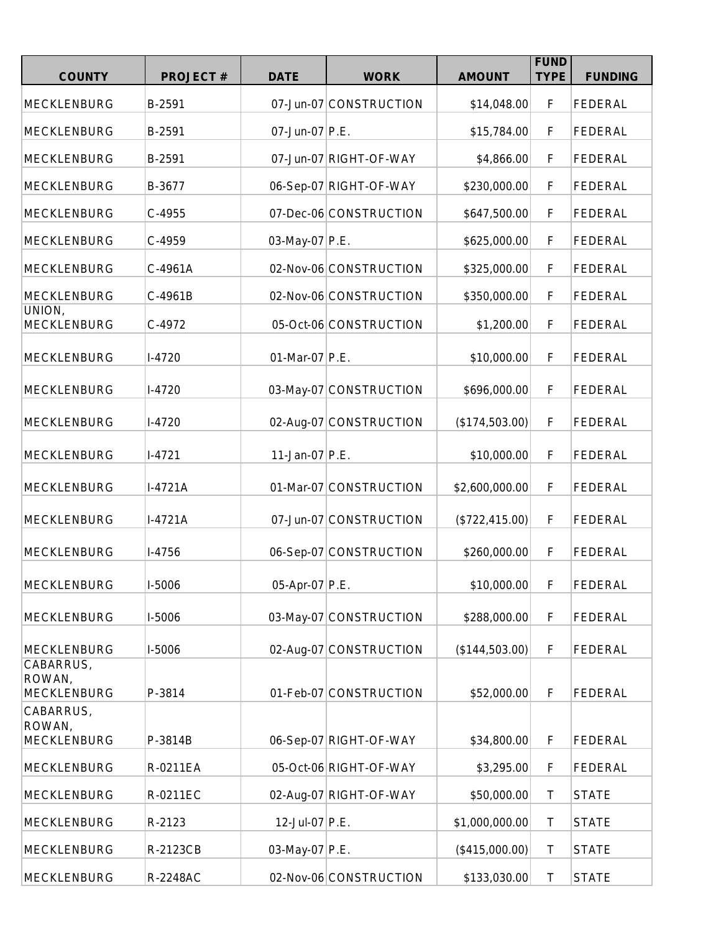| <b>COUNTY</b>                             | <b>PROJECT#</b> | <b>DATE</b>    | <b>WORK</b>            | <b>AMOUNT</b>  | <b>FUND</b><br><b>TYPE</b> | <b>FUNDING</b> |
|-------------------------------------------|-----------------|----------------|------------------------|----------------|----------------------------|----------------|
| <b>MECKLENBURG</b>                        | B-2591          |                | 07-Jun-07 CONSTRUCTION | \$14,048.00    | F                          | <b>FEDERAL</b> |
| <b>MECKLENBURG</b>                        | B-2591          | 07-Jun-07 P.E. |                        | \$15,784.00    | F                          | <b>FEDERAL</b> |
| <b>MECKLENBURG</b>                        | B-2591          |                | 07-Jun-07 RIGHT-OF-WAY | \$4,866.00     | F                          | <b>FEDERAL</b> |
| <b>MECKLENBURG</b>                        | B-3677          |                | 06-Sep-07 RIGHT-OF-WAY | \$230,000.00   | F                          | <b>FEDERAL</b> |
| <b>MECKLENBURG</b>                        | C-4955          |                | 07-Dec-06 CONSTRUCTION | \$647,500.00   | F                          | <b>FEDERAL</b> |
| <b>MECKLENBURG</b>                        | C-4959          | 03-May-07 P.E. |                        | \$625,000.00   | F                          | <b>FEDERAL</b> |
| <b>MECKLENBURG</b>                        | C-4961A         |                | 02-Nov-06 CONSTRUCTION | \$325,000.00   | F                          | FEDERAL        |
| <b>MECKLENBURG</b>                        | C-4961B         |                | 02-Nov-06 CONSTRUCTION | \$350,000.00   | F                          | FEDERAL        |
| UNION,<br><b>MECKLENBURG</b>              | C-4972          |                | 05-Oct-06 CONSTRUCTION | \$1,200.00     | F                          | FEDERAL        |
| <b>MECKLENBURG</b>                        | $I-4720$        | 01-Mar-07 P.E. |                        | \$10,000.00    | F                          | <b>FEDERAL</b> |
| <b>MECKLENBURG</b>                        | $I-4720$        |                | 03-May-07 CONSTRUCTION | \$696,000.00   | F                          | <b>FEDERAL</b> |
| <b>MECKLENBURG</b>                        | $I-4720$        |                | 02-Aug-07 CONSTRUCTION | (\$174,503.00) | F                          | <b>FEDERAL</b> |
| <b>MECKLENBURG</b>                        | $I-4721$        | 11-Jan-07 P.E. |                        | \$10,000.00    | F                          | <b>FEDERAL</b> |
| <b>MECKLENBURG</b>                        | I-4721A         |                | 01-Mar-07 CONSTRUCTION | \$2,600,000.00 | F                          | FEDERAL        |
| <b>MECKLENBURG</b>                        | $I-4721A$       |                | 07-Jun-07 CONSTRUCTION | (\$722,415.00) | F                          | FEDERAL        |
| <b>MECKLENBURG</b>                        | $I-4756$        |                | 06-Sep-07 CONSTRUCTION | \$260,000.00   | F                          | <b>FEDERAL</b> |
| <b>MECKLENBURG</b>                        | I-5006          | 05-Apr-07 P.E. |                        | \$10,000.00    | F                          | <b>FEDERAL</b> |
| <b>MECKLENBURG</b>                        | I-5006          |                | 03-May-07 CONSTRUCTION | \$288,000.00   | F                          | <b>FEDERAL</b> |
| <b>MECKLENBURG</b>                        | I-5006          |                | 02-Aug-07 CONSTRUCTION | (\$144,503.00) | F                          | <b>FEDERAL</b> |
| CABARRUS,<br>ROWAN,<br><b>MECKLENBURG</b> | P-3814          |                | 01-Feb-07 CONSTRUCTION | \$52,000.00    | F                          | <b>FEDERAL</b> |
| CABARRUS,<br>ROWAN,<br><b>MECKLENBURG</b> | P-3814B         |                | 06-Sep-07 RIGHT-OF-WAY | \$34,800.00    | F                          | <b>FEDERAL</b> |
| <b>MECKLENBURG</b>                        | R-0211EA        |                | 05-Oct-06 RIGHT-OF-WAY | \$3,295.00     | F                          | <b>FEDERAL</b> |
| <b>MECKLENBURG</b>                        | R-0211EC        |                | 02-Aug-07 RIGHT-OF-WAY | \$50,000.00    | T                          | <b>STATE</b>   |
| <b>MECKLENBURG</b>                        | R-2123          | 12-Jul-07 P.E. |                        | \$1,000,000.00 | Τ                          | <b>STATE</b>   |
| <b>MECKLENBURG</b>                        | R-2123CB        | 03-May-07 P.E. |                        | (\$415,000.00) | T                          | <b>STATE</b>   |
| <b>MECKLENBURG</b>                        | R-2248AC        |                | 02-Nov-06 CONSTRUCTION | \$133,030.00   | T                          | <b>STATE</b>   |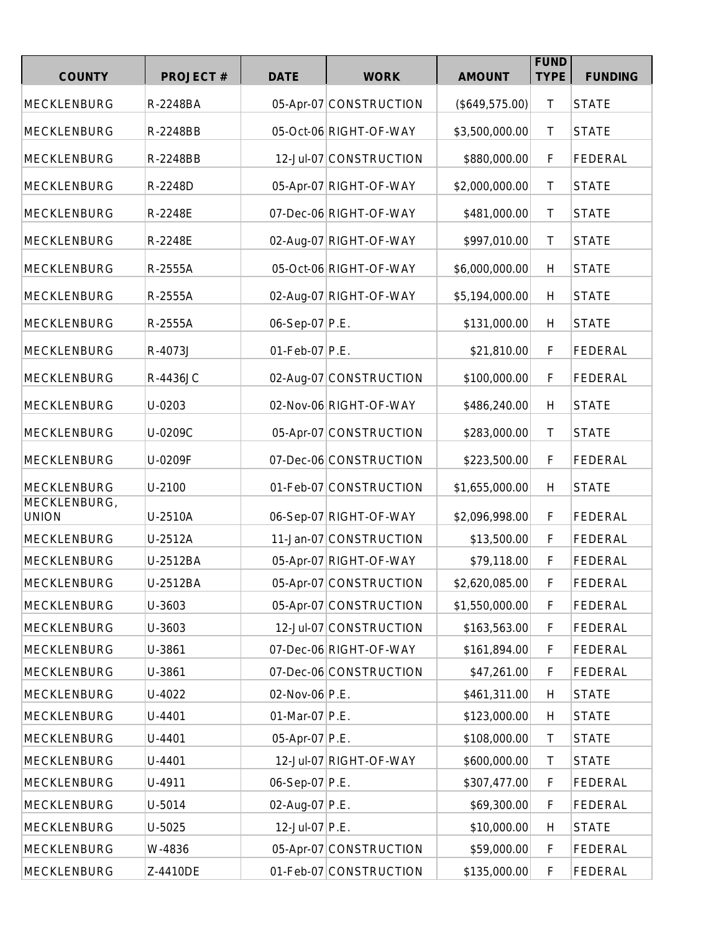| <b>COUNTY</b>                | <b>PROJECT#</b> | <b>DATE</b>    | <b>WORK</b>            | <b>AMOUNT</b>  | <b>FUND</b><br><b>TYPE</b> | <b>FUNDING</b> |
|------------------------------|-----------------|----------------|------------------------|----------------|----------------------------|----------------|
|                              |                 |                |                        |                |                            |                |
| <b>MECKLENBURG</b>           | R-2248BA        |                | 05-Apr-07 CONSTRUCTION | (\$649,575.00) | $\top$                     | <b>STATE</b>   |
| <b>MECKLENBURG</b>           | R-2248BB        |                | 05-Oct-06 RIGHT-OF-WAY | \$3,500,000.00 | $\mathsf{T}$               | <b>STATE</b>   |
| <b>MECKLENBURG</b>           | R-2248BB        |                | 12-Jul-07 CONSTRUCTION | \$880,000.00   | F                          | <b>FEDERAL</b> |
| <b>MECKLENBURG</b>           | R-2248D         |                | 05-Apr-07 RIGHT-OF-WAY | \$2,000,000.00 | $\mathsf T$                | <b>STATE</b>   |
| <b>MECKLENBURG</b>           | R-2248E         |                | 07-Dec-06 RIGHT-OF-WAY | \$481,000.00   | $\mathsf{T}$               | <b>STATE</b>   |
| <b>MECKLENBURG</b>           | R-2248E         |                | 02-Aug-07 RIGHT-OF-WAY | \$997,010.00   | $\top$                     | <b>STATE</b>   |
| <b>MECKLENBURG</b>           | R-2555A         |                | 05-Oct-06 RIGHT-OF-WAY | \$6,000,000.00 | H                          | <b>STATE</b>   |
| <b>MECKLENBURG</b>           | R-2555A         |                | 02-Aug-07 RIGHT-OF-WAY | \$5,194,000.00 | H                          | <b>STATE</b>   |
| <b>MECKLENBURG</b>           | R-2555A         | 06-Sep-07 P.E. |                        | \$131,000.00   | H                          | <b>STATE</b>   |
| <b>MECKLENBURG</b>           | R-4073J         | 01-Feb-07 P.E. |                        | \$21,810.00    | F                          | FEDERAL        |
| <b>MECKLENBURG</b>           | R-4436JC        |                | 02-Aug-07 CONSTRUCTION | \$100,000.00   | F                          | <b>FEDERAL</b> |
| <b>MECKLENBURG</b>           | U-0203          |                | 02-Nov-06 RIGHT-OF-WAY | \$486,240.00   | H                          | <b>STATE</b>   |
| <b>MECKLENBURG</b>           | U-0209C         |                | 05-Apr-07 CONSTRUCTION | \$283,000.00   | T                          | <b>STATE</b>   |
| <b>MECKLENBURG</b>           | U-0209F         |                | 07-Dec-06 CONSTRUCTION | \$223,500.00   | F                          | <b>FEDERAL</b> |
| <b>MECKLENBURG</b>           | U-2100          |                | 01-Feb-07 CONSTRUCTION | \$1,655,000.00 | H                          | <b>STATE</b>   |
| MECKLENBURG,<br><b>UNION</b> | U-2510A         |                | 06-Sep-07 RIGHT-OF-WAY | \$2,096,998.00 | $\mathsf F$                | <b>FEDERAL</b> |
| <b>MECKLENBURG</b>           | U-2512A         |                | 11-Jan-07 CONSTRUCTION | \$13,500.00    | $\mathsf F$                | <b>FEDERAL</b> |
| <b>MECKLENBURG</b>           | U-2512BA        |                | 05-Apr-07 RIGHT-OF-WAY | \$79,118.00    | F                          | <b>FEDERAL</b> |
| <b>MECKLENBURG</b>           | U-2512BA        |                | 05-Apr-07 CONSTRUCTION | \$2,620,085.00 | F                          | <b>FEDERAL</b> |
| <b>MECKLENBURG</b>           | U-3603          |                | 05-Apr-07 CONSTRUCTION | \$1,550,000.00 | F.                         | <b>FEDERAL</b> |
| <b>MECKLENBURG</b>           | U-3603          |                | 12-Jul-07 CONSTRUCTION | \$163,563.00   | F.                         | <b>FEDERAL</b> |
| <b>MECKLENBURG</b>           | U-3861          |                | 07-Dec-06 RIGHT-OF-WAY | \$161,894.00   | F                          | <b>FEDERAL</b> |
| <b>MECKLENBURG</b>           | U-3861          |                | 07-Dec-06 CONSTRUCTION | \$47,261.00    | F                          | <b>FEDERAL</b> |
| <b>MECKLENBURG</b>           | U-4022          | 02-Nov-06 P.E. |                        | \$461,311.00   | H                          | <b>STATE</b>   |
| <b>MECKLENBURG</b>           | U-4401          | 01-Mar-07 P.E. |                        | \$123,000.00   | H                          | <b>STATE</b>   |
| <b>MECKLENBURG</b>           | U-4401          | 05-Apr-07 P.E. |                        | \$108,000.00   | Τ                          | <b>STATE</b>   |
| <b>MECKLENBURG</b>           | U-4401          |                | 12-Jul-07 RIGHT-OF-WAY | \$600,000.00   | Τ                          | <b>STATE</b>   |
| <b>MECKLENBURG</b>           | U-4911          | 06-Sep-07 P.E. |                        | \$307,477.00   | F                          | <b>FEDERAL</b> |
| <b>MECKLENBURG</b>           | U-5014          | 02-Aug-07 P.E. |                        | \$69,300.00    | F                          | <b>FEDERAL</b> |
| <b>MECKLENBURG</b>           | U-5025          | 12-Jul-07 P.E. |                        | \$10,000.00    | H                          | <b>STATE</b>   |
| <b>MECKLENBURG</b>           | W-4836          |                | 05-Apr-07 CONSTRUCTION | \$59,000.00    | F                          | <b>FEDERAL</b> |
| <b>MECKLENBURG</b>           | Z-4410DE        |                | 01-Feb-07 CONSTRUCTION | \$135,000.00   | F                          | <b>FEDERAL</b> |